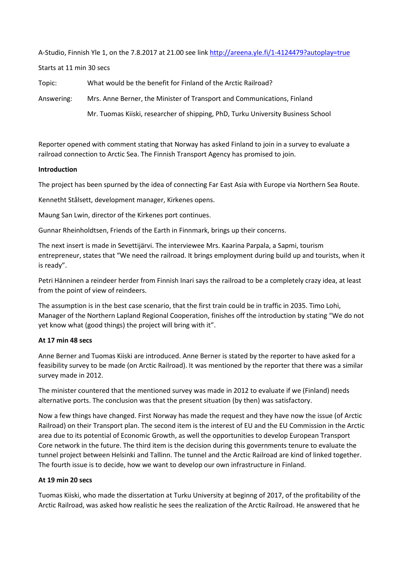A-Studio, Finnish Yle 1, on the 7.8.2017 at 21.00 see link<http://areena.yle.fi/1-4124479?autoplay=true>

Starts at 11 min 30 secs

Topic: What would be the benefit for Finland of the Arctic Railroad?

Answering: Mrs. Anne Berner, the Minister of Transport and Communications, Finland

Mr. Tuomas Kiiski, researcher of shipping, PhD, Turku University Business School

Reporter opened with comment stating that Norway has asked Finland to join in a survey to evaluate a railroad connection to Arctic Sea. The Finnish Transport Agency has promised to join.

## **Introduction**

The project has been spurned by the idea of connecting Far East Asia with Europe via Northern Sea Route.

Kennetht Stålsett, development manager, Kirkenes opens.

Maung San Lwin, director of the Kirkenes port continues.

Gunnar Rheinholdtsen, Friends of the Earth in Finnmark, brings up their concerns.

The next insert is made in Sevettijärvi. The interviewee Mrs. Kaarina Parpala, a Sapmi, tourism entrepreneur, states that "We need the railroad. It brings employment during build up and tourists, when it is ready".

Petri Hänninen a reindeer herder from Finnish Inari says the railroad to be a completely crazy idea, at least from the point of view of reindeers.

The assumption is in the best case scenario, that the first train could be in traffic in 2035. Timo Lohi, Manager of the Northern Lapland Regional Cooperation, finishes off the introduction by stating "We do not yet know what (good things) the project will bring with it".

## **At 17 min 48 secs**

Anne Berner and Tuomas Kiiski are introduced. Anne Berner is stated by the reporter to have asked for a feasibility survey to be made (on Arctic Railroad). It was mentioned by the reporter that there was a similar survey made in 2012.

The minister countered that the mentioned survey was made in 2012 to evaluate if we (Finland) needs alternative ports. The conclusion was that the present situation (by then) was satisfactory.

Now a few things have changed. First Norway has made the request and they have now the issue (of Arctic Railroad) on their Transport plan. The second item is the interest of EU and the EU Commission in the Arctic area due to its potential of Economic Growth, as well the opportunities to develop European Transport Core network in the future. The third item is the decision during this governments tenure to evaluate the tunnel project between Helsinki and Tallinn. The tunnel and the Arctic Railroad are kind of linked together. The fourth issue is to decide, how we want to develop our own infrastructure in Finland.

## **At 19 min 20 secs**

Tuomas Kiiski, who made the dissertation at Turku University at beginng of 2017, of the profitability of the Arctic Railroad, was asked how realistic he sees the realization of the Arctic Railroad. He answered that he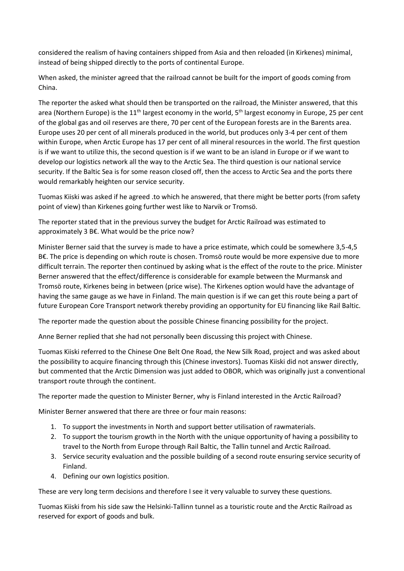considered the realism of having containers shipped from Asia and then reloaded (in Kirkenes) minimal, instead of being shipped directly to the ports of continental Europe.

When asked, the minister agreed that the railroad cannot be built for the import of goods coming from China.

The reporter the asked what should then be transported on the railroad, the Minister answered, that this area (Northern Europe) is the 11<sup>th</sup> largest economy in the world, 5<sup>th</sup> largest economy in Europe, 25 per cent of the global gas and oil reserves are there, 70 per cent of the European forests are in the Barents area. Europe uses 20 per cent of all minerals produced in the world, but produces only 3-4 per cent of them within Europe, when Arctic Europe has 17 per cent of all mineral resources in the world. The first question is if we want to utilize this, the second question is if we want to be an island in Europe or if we want to develop our logistics network all the way to the Arctic Sea. The third question is our national service security. If the Baltic Sea is for some reason closed off, then the access to Arctic Sea and the ports there would remarkably heighten our service security.

Tuomas Kiiski was asked if he agreed .to which he answered, that there might be better ports (from safety point of view) than Kirkenes going further west like to Narvik or Tromsö.

The reporter stated that in the previous survey the budget for Arctic Railroad was estimated to approximately 3 B€. What would be the price now?

Minister Berner said that the survey is made to have a price estimate, which could be somewhere 3,5-4,5 B€. The price is depending on which route is chosen. Tromsö route would be more expensive due to more difficult terrain. The reporter then continued by asking what is the effect of the route to the price. Minister Berner answered that the effect/difference is considerable for example between the Murmansk and Tromsö route, Kirkenes being in between (price wise). The Kirkenes option would have the advantage of having the same gauge as we have in Finland. The main question is if we can get this route being a part of future European Core Transport network thereby providing an opportunity for EU financing like Rail Baltic.

The reporter made the question about the possible Chinese financing possibility for the project.

Anne Berner replied that she had not personally been discussing this project with Chinese.

Tuomas Kiiski referred to the Chinese One Belt One Road, the New Silk Road, project and was asked about the possibility to acquire financing through this (Chinese investors). Tuomas Kiiski did not answer directly, but commented that the Arctic Dimension was just added to OBOR, which was originally just a conventional transport route through the continent.

The reporter made the question to Minister Berner, why is Finland interested in the Arctic Railroad?

Minister Berner answered that there are three or four main reasons:

- 1. To support the investments in North and support better utilisation of rawmaterials.
- 2. To support the tourism growth in the North with the unique opportunity of having a possibility to travel to the North from Europe through Rail Baltic, the Tallin tunnel and Arctic Railroad.
- 3. Service security evaluation and the possible building of a second route ensuring service security of Finland.
- 4. Defining our own logistics position.

These are very long term decisions and therefore I see it very valuable to survey these questions.

Tuomas Kiiski from his side saw the Helsinki-Tallinn tunnel as a touristic route and the Arctic Railroad as reserved for export of goods and bulk.